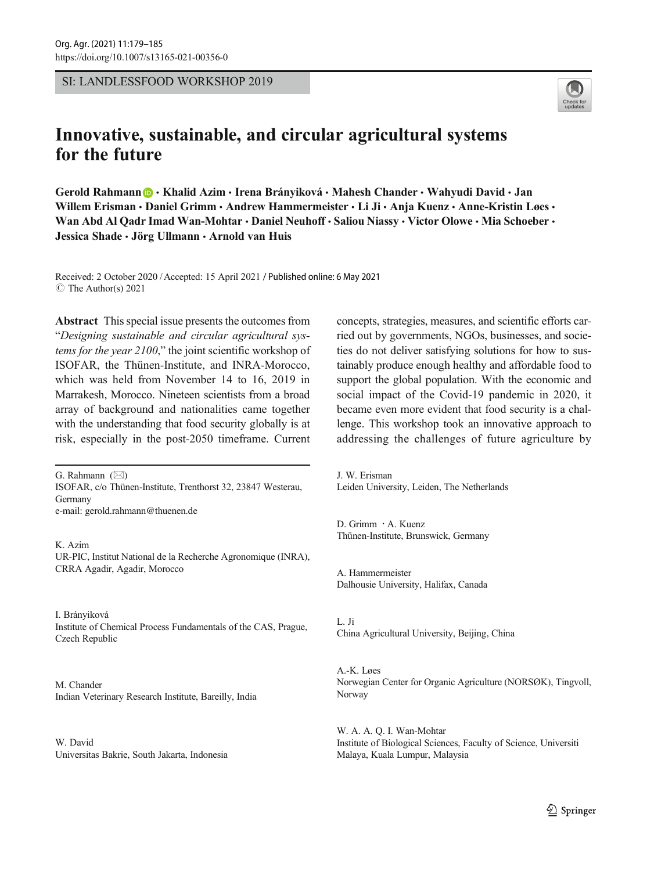SI: LANDLESSFOOD WORKSHOP 2019



# Innovative, sustainable, and circular agricultural systems for the future

Gerold Rahmann **@** • Khalid Azim • Irena Brányiková • Mahesh Chander • Wahyudi David • Jan Willem Erisman • Daniel Grimm • Andrew Hammermeister • Li Ji • Anja Kuenz • Anne-Kristin Løes • Wan Abd Al Qadr Imad Wan-Mohtar · Daniel Neuhoff · Saliou Niassy · Victor Olowe · Mia Schoeber · Jessica Shade · Jörg Ullmann · Arnold van Huis

Received: 2 October 2020 /Accepted: 15 April 2021 / Published online: 6 May 2021  $\circ$  The Author(s) 2021

Abstract This special issue presents the outcomes from "Designing sustainable and circular agricultural systems for the year 2100," the joint scientific workshop of ISOFAR, the Thünen-Institute, and INRA-Morocco, which was held from November 14 to 16, 2019 in Marrakesh, Morocco. Nineteen scientists from a broad array of background and nationalities came together with the understanding that food security globally is at risk, especially in the post-2050 timeframe. Current

G. Rahmann  $(\boxtimes)$ ISOFAR, c/o Thünen-Institute, Trenthorst 32, 23847 Westerau, Germany e-mail: gerold.rahmann@thuenen.de

K. Azim UR-PIC, Institut National de la Recherche Agronomique (INRA), CRRA Agadir, Agadir, Morocco

I. Brányiková Institute of Chemical Process Fundamentals of the CAS, Prague, Czech Republic

M. Chander Indian Veterinary Research Institute, Bareilly, India

W. David Universitas Bakrie, South Jakarta, Indonesia concepts, strategies, measures, and scientific efforts carried out by governments, NGOs, businesses, and societies do not deliver satisfying solutions for how to sustainably produce enough healthy and affordable food to support the global population. With the economic and social impact of the Covid-19 pandemic in 2020, it became even more evident that food security is a challenge. This workshop took an innovative approach to addressing the challenges of future agriculture by

J. W. Erisman Leiden University, Leiden, The Netherlands

D. Grimm : A. Kuenz Thünen-Institute, Brunswick, Germany

A. Hammermeister Dalhousie University, Halifax, Canada

L. Ji China Agricultural University, Beijing, China

A.-K. Løes Norwegian Center for Organic Agriculture (NORSØK), Tingvoll, Norway

W. A. A. Q. I. Wan-Mohtar Institute of Biological Sciences, Faculty of Science, Universiti Malaya, Kuala Lumpur, Malaysia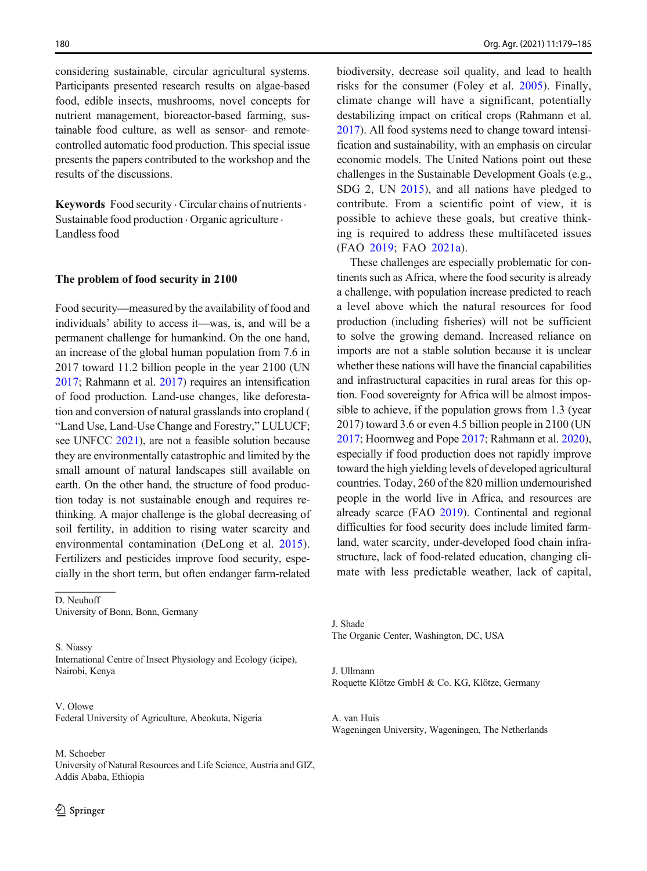considering sustainable, circular agricultural systems. Participants presented research results on algae-based food, edible insects, mushrooms, novel concepts for nutrient management, bioreactor-based farming, sustainable food culture, as well as sensor- and remotecontrolled automatic food production. This special issue presents the papers contributed to the workshop and the results of the discussions.

Keywords Food security . Circular chains of nutrients . Sustainable food production  $\cdot$  Organic agriculture  $\cdot$ Landless food

#### The problem of food security in 2100

Food security—measured by the availability of food and individuals' ability to access it—was, is, and will be a permanent challenge for humankind. On the one hand, an increase of the global human population from 7.6 in 2017 toward 11.2 billion people in the year 2100 (UN [2017](#page-6-0); Rahmann et al. [2017\)](#page-5-0) requires an intensification of food production. Land-use changes, like deforestation and conversion of natural grasslands into cropland ( "Land Use, Land-Use Change and Forestry," LULUCF; see UNFCC [2021\)](#page-6-0), are not a feasible solution because they are environmentally catastrophic and limited by the small amount of natural landscapes still available on earth. On the other hand, the structure of food production today is not sustainable enough and requires rethinking. A major challenge is the global decreasing of soil fertility, in addition to rising water scarcity and environmental contamination (DeLong et al. [2015](#page-5-0)). Fertilizers and pesticides improve food security, especially in the short term, but often endanger farm-related

D. Neuhoff University of Bonn, Bonn, Germany

S. Niassy International Centre of Insect Physiology and Ecology (icipe), Nairobi, Kenya

V. Olowe Federal University of Agriculture, Abeokuta, Nigeria

### M. Schoeber

University of Natural Resources and Life Science, Austria and GIZ, Addis Ababa, Ethiopia

biodiversity, decrease soil quality, and lead to health risks for the consumer (Foley et al. [2005](#page-5-0)). Finally, climate change will have a significant, potentially destabilizing impact on critical crops (Rahmann et al. [2017](#page-5-0)). All food systems need to change toward intensification and sustainability, with an emphasis on circular economic models. The United Nations point out these challenges in the Sustainable Development Goals (e.g., SDG 2, UN [2015](#page-6-0)), and all nations have pledged to contribute. From a scientific point of view, it is possible to achieve these goals, but creative thinking is required to address these multifaceted issues (FAO [2019](#page-5-0); FAO [2021a\)](#page-5-0).

These challenges are especially problematic for continents such as Africa, where the food security is already a challenge, with population increase predicted to reach a level above which the natural resources for food production (including fisheries) will not be sufficient to solve the growing demand. Increased reliance on imports are not a stable solution because it is unclear whether these nations will have the financial capabilities and infrastructural capacities in rural areas for this option. Food sovereignty for Africa will be almost impossible to achieve, if the population grows from 1.3 (year 2017) toward 3.6 or even 4.5 billion people in 2100 (UN [2017](#page-6-0); Hoornweg and Pope [2017](#page-5-0); Rahmann et al. [2020\)](#page-5-0), especially if food production does not rapidly improve toward the high yielding levels of developed agricultural countries. Today, 260 of the 820 million undernourished people in the world live in Africa, and resources are already scarce (FAO [2019\)](#page-5-0). Continental and regional difficulties for food security does include limited farmland, water scarcity, under-developed food chain infrastructure, lack of food-related education, changing climate with less predictable weather, lack of capital,

J. Shade The Organic Center, Washington, DC, USA

J. Ullmann Roquette Klötze GmbH & Co. KG, Klötze, Germany

A. van Huis Wageningen University, Wageningen, The Netherlands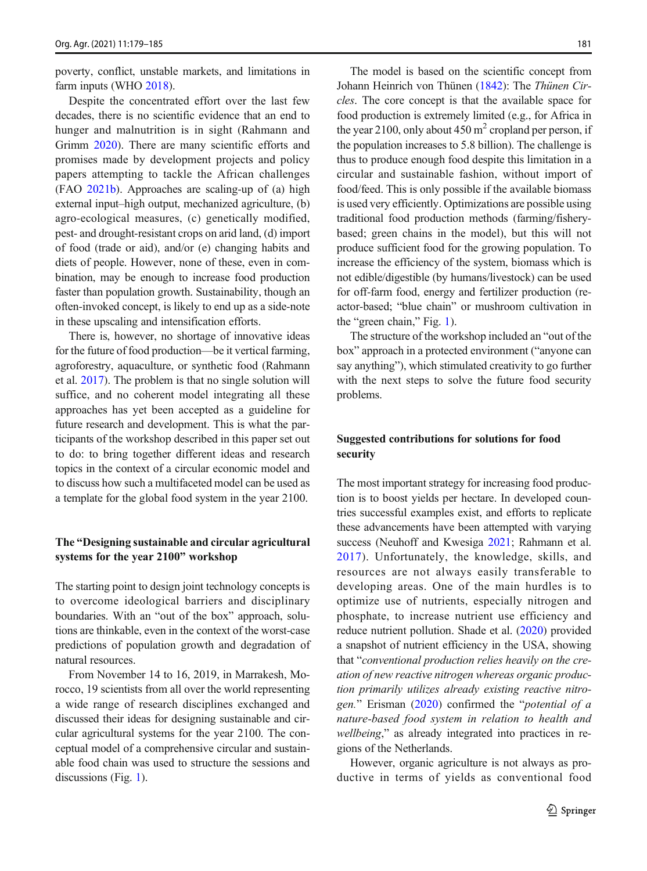poverty, conflict, unstable markets, and limitations in farm inputs (WHO [2018\)](#page-6-0).

Despite the concentrated effort over the last few decades, there is no scientific evidence that an end to hunger and malnutrition is in sight (Rahmann and Grimm [2020](#page-5-0)). There are many scientific efforts and promises made by development projects and policy papers attempting to tackle the African challenges (FAO [2021b](#page-5-0)). Approaches are scaling-up of (a) high external input–high output, mechanized agriculture, (b) agro-ecological measures, (c) genetically modified, pest- and drought-resistant crops on arid land, (d) import of food (trade or aid), and/or (e) changing habits and diets of people. However, none of these, even in combination, may be enough to increase food production faster than population growth. Sustainability, though an often-invoked concept, is likely to end up as a side-note in these upscaling and intensification efforts.

There is, however, no shortage of innovative ideas for the future of food production—be it vertical farming, agroforestry, aquaculture, or synthetic food (Rahmann et al. [2017\)](#page-5-0). The problem is that no single solution will suffice, and no coherent model integrating all these approaches has yet been accepted as a guideline for future research and development. This is what the participants of the workshop described in this paper set out to do: to bring together different ideas and research topics in the context of a circular economic model and to discuss how such a multifaceted model can be used as a template for the global food system in the year 2100.

## The "Designing sustainable and circular agricultural systems for the year 2100" workshop

The starting point to design joint technology concepts is to overcome ideological barriers and disciplinary boundaries. With an "out of the box" approach, solutions are thinkable, even in the context of the worst-case predictions of population growth and degradation of natural resources.

From November 14 to 16, 2019, in Marrakesh, Morocco, 19 scientists from all over the world representing a wide range of research disciplines exchanged and discussed their ideas for designing sustainable and circular agricultural systems for the year 2100. The conceptual model of a comprehensive circular and sustainable food chain was used to structure the sessions and discussions (Fig. [1\)](#page-3-0).

The model is based on the scientific concept from Johann Heinrich von Thünen ([1842](#page-6-0)): The Thünen Circles. The core concept is that the available space for food production is extremely limited (e.g., for Africa in the year 2100, only about 450  $m<sup>2</sup>$  cropland per person, if the population increases to 5.8 billion). The challenge is thus to produce enough food despite this limitation in a circular and sustainable fashion, without import of food/feed. This is only possible if the available biomass is used very efficiently. Optimizations are possible using traditional food production methods (farming/fisherybased; green chains in the model), but this will not produce sufficient food for the growing population. To increase the efficiency of the system, biomass which is not edible/digestible (by humans/livestock) can be used for off-farm food, energy and fertilizer production (reactor-based; "blue chain" or mushroom cultivation in the "green chain," Fig. [1\)](#page-3-0).

The structure of the workshop included an "out of the box" approach in a protected environment ("anyone can say anything"), which stimulated creativity to go further with the next steps to solve the future food security problems.

# Suggested contributions for solutions for food security

The most important strategy for increasing food production is to boost yields per hectare. In developed countries successful examples exist, and efforts to replicate these advancements have been attempted with varying success (Neuhoff and Kwesiga [2021](#page-5-0); Rahmann et al. [2017](#page-5-0)). Unfortunately, the knowledge, skills, and resources are not always easily transferable to developing areas. One of the main hurdles is to optimize use of nutrients, especially nitrogen and phosphate, to increase nutrient use efficiency and reduce nutrient pollution. Shade et al. ([2020](#page-6-0)) provided a snapshot of nutrient efficiency in the USA, showing that "conventional production relies heavily on the creation of new reactive nitrogen whereas organic production primarily utilizes already existing reactive nitrogen." Erisman ([2020\)](#page-5-0) confirmed the "potential of a nature-based food system in relation to health and wellbeing," as already integrated into practices in regions of the Netherlands.

However, organic agriculture is not always as productive in terms of yields as conventional food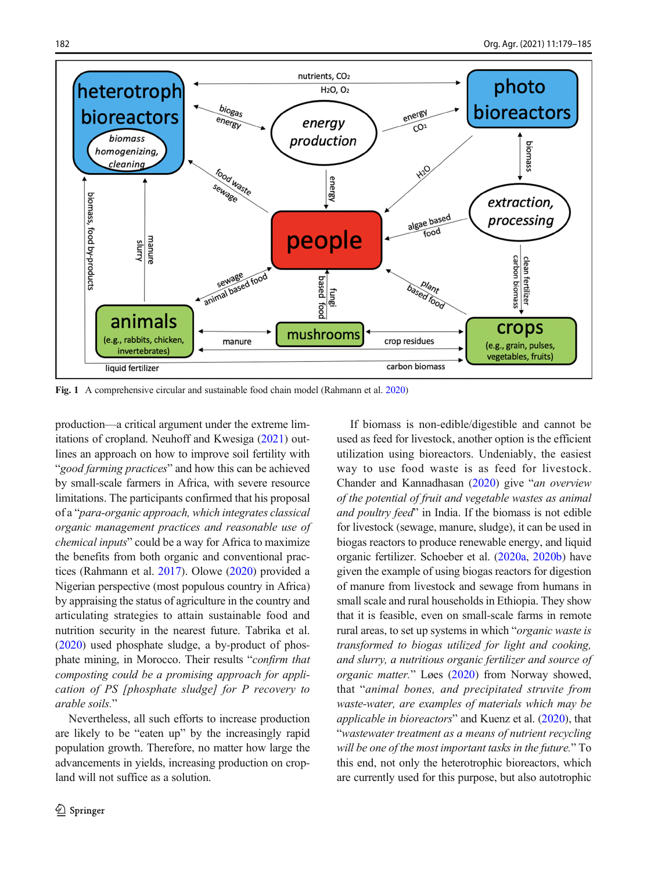<span id="page-3-0"></span>

Fig. 1 A comprehensive circular and sustainable food chain model (Rahmann et al. [2020\)](#page-5-0)

production—a critical argument under the extreme limitations of cropland. Neuhoff and Kwesiga ([2021](#page-5-0)) outlines an approach on how to improve soil fertility with "good farming practices" and how this can be achieved by small-scale farmers in Africa, with severe resource limitations. The participants confirmed that his proposal of a "para-organic approach, which integrates classical organic management practices and reasonable use of chemical inputs" could be a way for Africa to maximize the benefits from both organic and conventional practices (Rahmann et al. [2017](#page-5-0)). Olowe [\(2020\)](#page-5-0) provided a Nigerian perspective (most populous country in Africa) by appraising the status of agriculture in the country and articulating strategies to attain sustainable food and nutrition security in the nearest future. Tabrika et al. ([2020](#page-6-0)) used phosphate sludge, a by-product of phosphate mining, in Morocco. Their results "confirm that composting could be a promising approach for application of PS [phosphate sludge] for P recovery to arable soils."

Nevertheless, all such efforts to increase production are likely to be "eaten up" by the increasingly rapid population growth. Therefore, no matter how large the advancements in yields, increasing production on cropland will not suffice as a solution.

If biomass is non-edible/digestible and cannot be used as feed for livestock, another option is the efficient utilization using bioreactors. Undeniably, the easiest way to use food waste is as feed for livestock. Chander and Kannadhasan ([2020](#page-5-0)) give "an overview of the potential of fruit and vegetable wastes as animal and poultry feed" in India. If the biomass is not edible for livestock (sewage, manure, sludge), it can be used in biogas reactors to produce renewable energy, and liquid organic fertilizer. Schoeber et al. [\(2020a](#page-5-0), [2020b](#page-5-0)) have given the example of using biogas reactors for digestion of manure from livestock and sewage from humans in small scale and rural households in Ethiopia. They show that it is feasible, even on small-scale farms in remote rural areas, to set up systems in which "organic waste is transformed to biogas utilized for light and cooking, and slurry, a nutritious organic fertilizer and source of organic matter." Løes [\(2020\)](#page-5-0) from Norway showed, that "animal bones, and precipitated struvite from waste-water, are examples of materials which may be applicable in bioreactors" and Kuenz et al. [\(2020\)](#page-5-0), that "wastewater treatment as a means of nutrient recycling will be one of the most important tasks in the future." To this end, not only the heterotrophic bioreactors, which are currently used for this purpose, but also autotrophic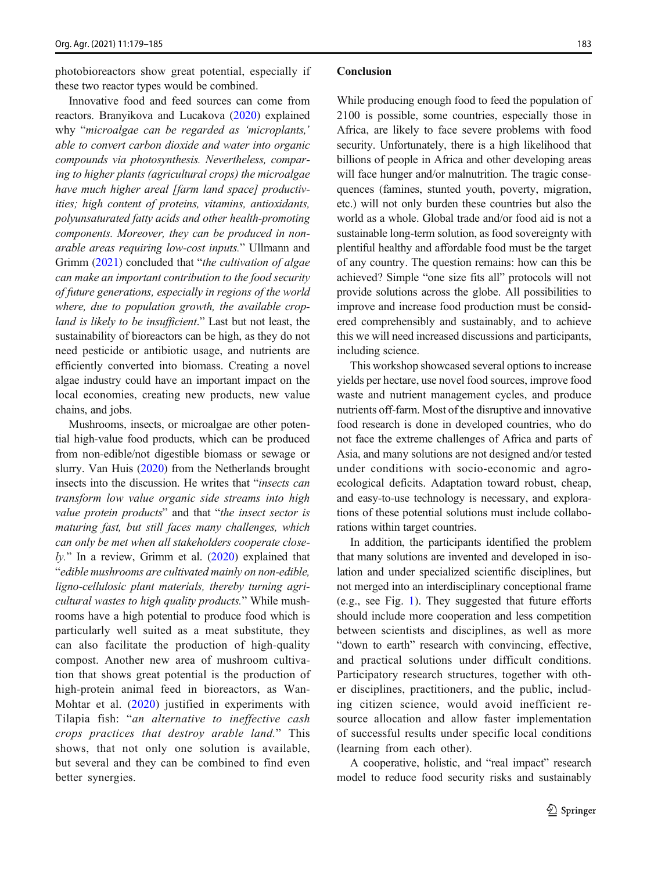photobioreactors show great potential, especially if these two reactor types would be combined.

Innovative food and feed sources can come from reactors. Branyikova and Lucakova [\(2020](#page-5-0)) explained why "microalgae can be regarded as 'microplants,' able to convert carbon dioxide and water into organic compounds via photosynthesis. Nevertheless, comparing to higher plants (agricultural crops) the microalgae have much higher areal [farm land space] productivities; high content of proteins, vitamins, antioxidants, polyunsaturated fatty acids and other health-promoting components. Moreover, they can be produced in nonarable areas requiring low-cost inputs." Ullmann and Grimm [\(2021](#page-6-0)) concluded that "*the cultivation of algae* can make an important contribution to the food security of future generations, especially in regions of the world where, due to population growth, the available cropland is likely to be insufficient." Last but not least, the sustainability of bioreactors can be high, as they do not need pesticide or antibiotic usage, and nutrients are efficiently converted into biomass. Creating a novel algae industry could have an important impact on the local economies, creating new products, new value chains, and jobs.

Mushrooms, insects, or microalgae are other potential high-value food products, which can be produced from non-edible/not digestible biomass or sewage or slurry. Van Huis [\(2020\)](#page-6-0) from the Netherlands brought insects into the discussion. He writes that "insects can transform low value organic side streams into high value protein products" and that "the insect sector is maturing fast, but still faces many challenges, which can only be met when all stakeholders cooperate close- $\ell$ y." In a review, Grimm et al. ([2020](#page-5-0)) explained that "edible mushrooms are cultivated mainly on non-edible, ligno-cellulosic plant materials, thereby turning agricultural wastes to high quality products." While mushrooms have a high potential to produce food which is particularly well suited as a meat substitute, they can also facilitate the production of high-quality compost. Another new area of mushroom cultivation that shows great potential is the production of high-protein animal feed in bioreactors, as Wan-Mohtar et al. [\(2020\)](#page-6-0) justified in experiments with Tilapia fish: "an alternative to ineffective cash crops practices that destroy arable land." This shows, that not only one solution is available, but several and they can be combined to find even better synergies.

## Conclusion

While producing enough food to feed the population of 2100 is possible, some countries, especially those in Africa, are likely to face severe problems with food security. Unfortunately, there is a high likelihood that billions of people in Africa and other developing areas will face hunger and/or malnutrition. The tragic consequences (famines, stunted youth, poverty, migration, etc.) will not only burden these countries but also the world as a whole. Global trade and/or food aid is not a sustainable long-term solution, as food sovereignty with plentiful healthy and affordable food must be the target of any country. The question remains: how can this be achieved? Simple "one size fits all" protocols will not provide solutions across the globe. All possibilities to improve and increase food production must be considered comprehensibly and sustainably, and to achieve this we will need increased discussions and participants, including science.

This workshop showcased several options to increase yields per hectare, use novel food sources, improve food waste and nutrient management cycles, and produce nutrients off-farm. Most of the disruptive and innovative food research is done in developed countries, who do not face the extreme challenges of Africa and parts of Asia, and many solutions are not designed and/or tested under conditions with socio-economic and agroecological deficits. Adaptation toward robust, cheap, and easy-to-use technology is necessary, and explorations of these potential solutions must include collaborations within target countries.

In addition, the participants identified the problem that many solutions are invented and developed in isolation and under specialized scientific disciplines, but not merged into an interdisciplinary conceptional frame (e.g., see Fig. [1\)](#page-3-0). They suggested that future efforts should include more cooperation and less competition between scientists and disciplines, as well as more "down to earth" research with convincing, effective, and practical solutions under difficult conditions. Participatory research structures, together with other disciplines, practitioners, and the public, including citizen science, would avoid inefficient resource allocation and allow faster implementation of successful results under specific local conditions (learning from each other).

A cooperative, holistic, and "real impact" research model to reduce food security risks and sustainably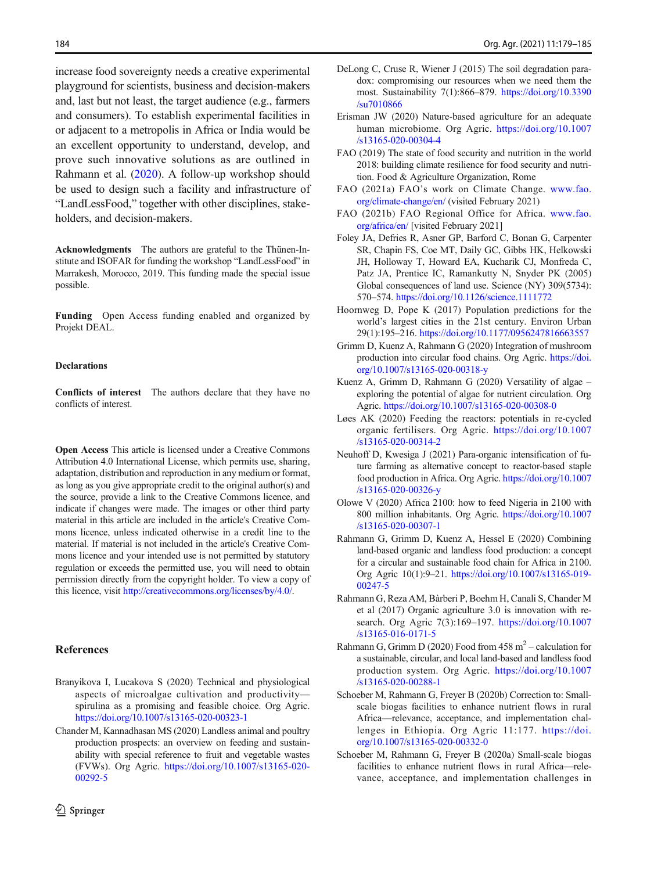<span id="page-5-0"></span>increase food sovereignty needs a creative experimental playground for scientists, business and decision-makers and, last but not least, the target audience (e.g., farmers and consumers). To establish experimental facilities in or adjacent to a metropolis in Africa or India would be an excellent opportunity to understand, develop, and prove such innovative solutions as are outlined in Rahmann et al. (2020). A follow-up workshop should be used to design such a facility and infrastructure of "LandLessFood," together with other disciplines, stakeholders, and decision-makers.

Acknowledgments The authors are grateful to the Thünen-Institute and ISOFAR for funding the workshop "LandLessFood" in Marrakesh, Morocco, 2019. This funding made the special issue possible.

Funding Open Access funding enabled and organized by Projekt DEAL.

## **Declarations**

Conflicts of interest The authors declare that they have no conflicts of interest.

Open Access This article is licensed under a Creative Commons Attribution 4.0 International License, which permits use, sharing, adaptation, distribution and reproduction in any medium or format, as long as you give appropriate credit to the original author(s) and the source, provide a link to the Creative Commons licence, and indicate if changes were made. The images or other third party material in this article are included in the article's Creative Commons licence, unless indicated otherwise in a credit line to the material. If material is not included in the article's Creative Commons licence and your intended use is not permitted by statutory regulation or exceeds the permitted use, you will need to obtain permission directly from the copyright holder. To view a copy of this licence, visit [http://creativecommons.org/licenses/by/4.0/.](https://doi.org/)

### **References**

- Branyikova I, Lucakova S (2020) Technical and physiological aspects of microalgae cultivation and productivity spirulina as a promising and feasible choice. Org Agric. <https://doi.org/10.1007/s13165-020-00323-1>
- Chander M, Kannadhasan MS (2020) Landless animal and poultry production prospects: an overview on feeding and sustainability with special reference to fruit and vegetable wastes (FVWs). Org Agric. [https://doi.org/10.1007/s13165-020-](https://doi.org/10.1007/s13165-020-00292-5) [00292-5](https://doi.org/10.1007/s13165-020-00292-5)
- DeLong C, Cruse R, Wiener J (2015) The soil degradation paradox: compromising our resources when we need them the most. Sustainability 7(1):866–879. [https://doi.org/10.3390](https://doi.org/10.3390/su7010866) [/su7010866](https://doi.org/10.3390/su7010866)
- Erisman JW (2020) Nature-based agriculture for an adequate human microbiome. Org Agric. [https://doi.org/10.1007](https://doi.org/10.1007/s13165-020-00304-4) [/s13165-020-00304-4](https://doi.org/10.1007/s13165-020-00304-4)
- FAO (2019) The state of food security and nutrition in the world 2018: building climate resilience for food security and nutrition. Food & Agriculture Organization, Rome
- FAO (2021a) FAO's work on Climate Change. [www.fao.](http://www.fao.org/climate--change/en/) [org/climate-change/en/](http://www.fao.org/climate--change/en/) (visited February 2021)
- FAO (2021b) FAO Regional Office for Africa. [www.fao.](http://www.fao.org/africa/en/) [org/africa/en/](http://www.fao.org/africa/en/) [visited February 2021]
- Foley JA, Defries R, Asner GP, Barford C, Bonan G, Carpenter SR, Chapin FS, Coe MT, Daily GC, Gibbs HK, Helkowski JH, Holloway T, Howard EA, Kucharik CJ, Monfreda C, Patz JA, Prentice IC, Ramankutty N, Snyder PK (2005) Global consequences of land use. Science (NY) 309(5734): 570–574. <https://doi.org/10.1126/science.1111772>
- Hoornweg D, Pope K (2017) Population predictions for the world's largest cities in the 21st century. Environ Urban 29(1):195–216. <https://doi.org/10.1177/0956247816663557>
- Grimm D, Kuenz A, Rahmann G (2020) Integration of mushroom production into circular food chains. Org Agric. [https://doi.](https://doi.org/10.1007/s13165-020-00318-y) [org/10.1007/s13165-020-00318-y](https://doi.org/10.1007/s13165-020-00318-y)
- Kuenz A, Grimm D, Rahmann G (2020) Versatility of algae exploring the potential of algae for nutrient circulation. Org Agric. <https://doi.org/10.1007/s13165-020-00308-0>
- Løes AK (2020) Feeding the reactors: potentials in re-cycled organic fertilisers. Org Agric. [https://doi.org/10.1007](https://doi.org/10.1007/s13165-020-00314-2) [/s13165-020-00314-2](https://doi.org/10.1007/s13165-020-00314-2)
- Neuhoff D, Kwesiga J (2021) Para-organic intensification of future farming as alternative concept to reactor-based staple food production in Africa. Org Agric. [https://doi.org/10.1007](https://doi.org/10.1007/s13165-020-00326-y) [/s13165-020-00326-y](https://doi.org/10.1007/s13165-020-00326-y)
- Olowe V (2020) Africa 2100: how to feed Nigeria in 2100 with 800 million inhabitants. Org Agric. [https://doi.org/10.1007](https://doi.org/10.1007/s13165-020-00307-1) [/s13165-020-00307-1](https://doi.org/10.1007/s13165-020-00307-1)
- Rahmann G, Grimm D, Kuenz A, Hessel E (2020) Combining land-based organic and landless food production: a concept for a circular and sustainable food chain for Africa in 2100. Org Agric 10(1):9–21. [https://doi.org/10.1007/s13165-019-](https://doi.org/10.1007/s13165-019-00247-5) [00247-5](https://doi.org/10.1007/s13165-019-00247-5)
- Rahmann G, Reza AM, Bàrberi P, Boehm H, Canali S, Chander M et al (2017) Organic agriculture 3.0 is innovation with research. Org Agric 7(3):169–197. [https://doi.org/10.1007](https://doi.org/10.1007/s13165-016-0171-5) [/s13165-016-0171-5](https://doi.org/10.1007/s13165-016-0171-5)
- Rahmann G, Grimm D (2020) Food from  $458 \text{ m}^2$  calculation for a sustainable, circular, and local land-based and landless food production system. Org Agric. [https://doi.org/10.1007](https://doi.org/10.1007/s13165-020-00288-1) [/s13165-020-00288-1](https://doi.org/10.1007/s13165-020-00288-1)
- Schoeber M, Rahmann G, Freyer B (2020b) Correction to: Smallscale biogas facilities to enhance nutrient flows in rural Africa—relevance, acceptance, and implementation challenges in Ethiopia. Org Agric 11:177. [https://doi.](https://doi.org/10.1007/s13165-020-00332-0) [org/10.1007/s13165-020-00332-0](https://doi.org/10.1007/s13165-020-00332-0)
- Schoeber M, Rahmann G, Freyer B (2020a) Small-scale biogas facilities to enhance nutrient flows in rural Africa—relevance, acceptance, and implementation challenges in